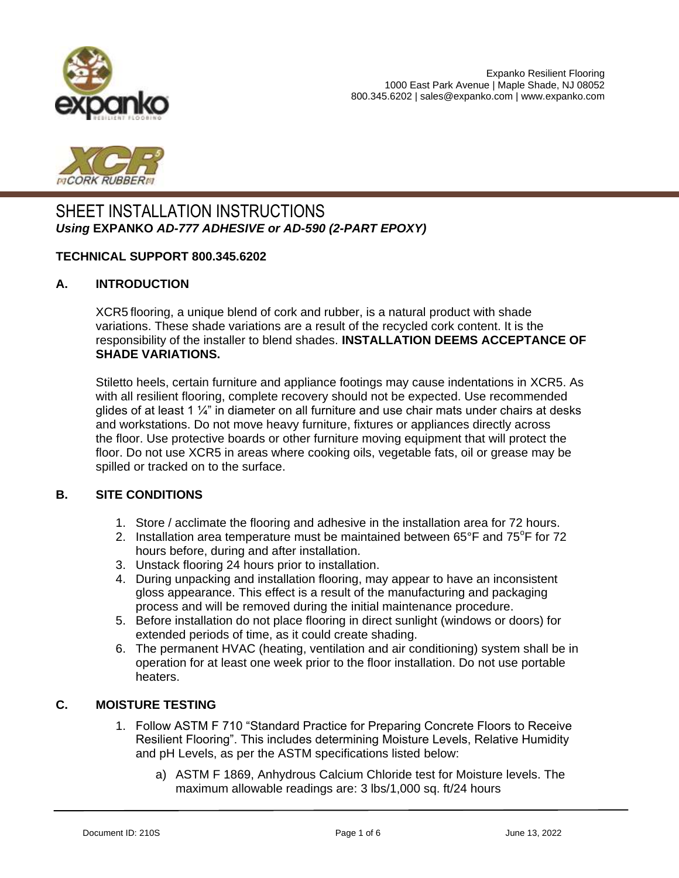



# SHEET INSTALLATION INSTRUCTIONS *Using* **EXPANKO** *AD-777 ADHESIVE or AD-590 (2-PART EPOXY)*

#### **TECHNICAL SUPPORT 800.345.6202**

#### **A. INTRODUCTION**

XCR5 flooring, a unique blend of cork and rubber, is a natural product with shade variations. These shade variations are a result of the recycled cork content. It is the responsibility of the installer to blend shades. **INSTALLATION DEEMS ACCEPTANCE OF SHADE VARIATIONS.** 

Stiletto heels, certain furniture and appliance footings may cause indentations in XCR5. As with all resilient flooring, complete recovery should not be expected. Use recommended glides of at least 1  $\frac{1}{4}$ " in diameter on all furniture and use chair mats under chairs at desks and workstations. Do not move heavy furniture, fixtures or appliances directly across the floor. Use protective boards or other furniture moving equipment that will protect the floor. Do not use XCR5 in areas where cooking oils, vegetable fats, oil or grease may be spilled or tracked on to the surface.

#### **B. SITE CONDITIONS**

- 1. Store / acclimate the flooring and adhesive in the installation area for 72 hours.
- 2. Installation area temperature must be maintained between  $65^{\circ}$ F and  $75^{\circ}$ F for 72 hours before, during and after installation.
- 3. Unstack flooring 24 hours prior to installation.
- 4. During unpacking and installation flooring, may appear to have an inconsistent gloss appearance. This effect is a result of the manufacturing and packaging process and will be removed during the initial maintenance procedure.
- 5. Before installation do not place flooring in direct sunlight (windows or doors) for extended periods of time, as it could create shading.
- 6. The permanent HVAC (heating, ventilation and air conditioning) system shall be in operation for at least one week prior to the floor installation. Do not use portable heaters.

#### **C. MOISTURE TESTING**

- 1. Follow ASTM F 710 "Standard Practice for Preparing Concrete Floors to Receive Resilient Flooring". This includes determining Moisture Levels, Relative Humidity and pH Levels, as per the ASTM specifications listed below:
	- a) ASTM F 1869, Anhydrous Calcium Chloride test for Moisture levels. The maximum allowable readings are: 3 lbs/1,000 sq. ft/24 hours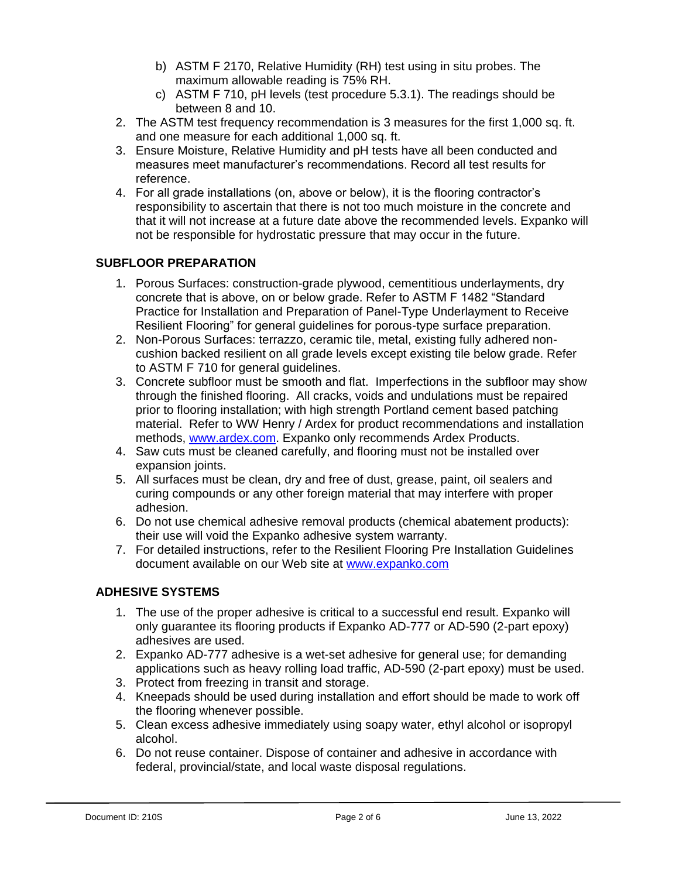- b) ASTM F 2170, Relative Humidity (RH) test using in situ probes. The maximum allowable reading is 75% RH.
- c) ASTM F 710, pH levels (test procedure 5.3.1). The readings should be between 8 and 10.
- 2. The ASTM test frequency recommendation is 3 measures for the first 1,000 sq. ft. and one measure for each additional 1,000 sq. ft.
- 3. Ensure Moisture, Relative Humidity and pH tests have all been conducted and measures meet manufacturer's recommendations. Record all test results for reference.
- 4. For all grade installations (on, above or below), it is the flooring contractor's responsibility to ascertain that there is not too much moisture in the concrete and that it will not increase at a future date above the recommended levels. Expanko will not be responsible for hydrostatic pressure that may occur in the future.

## **SUBFLOOR PREPARATION**

- 1. Porous Surfaces: construction-grade plywood, cementitious underlayments, dry concrete that is above, on or below grade. Refer to ASTM F 1482 "Standard Practice for Installation and Preparation of Panel-Type Underlayment to Receive Resilient Flooring" for general guidelines for porous-type surface preparation.
- 2. Non-Porous Surfaces: terrazzo, ceramic tile, metal, existing fully adhered noncushion backed resilient on all grade levels except existing tile below grade. Refer to ASTM F 710 for general guidelines.
- 3. Concrete subfloor must be smooth and flat. Imperfections in the subfloor may show through the finished flooring. All cracks, voids and undulations must be repaired prior to flooring installation; with high strength Portland cement based patching material. Refer to WW Henry / Ardex for product recommendations and installation methods, [www.ardex.com.](http://www.ardex.com/) Expanko only recommends Ardex Products.
- 4. Saw cuts must be cleaned carefully, and flooring must not be installed over expansion joints.
- 5. All surfaces must be clean, dry and free of dust, grease, paint, oil sealers and curing compounds or any other foreign material that may interfere with proper adhesion.
- 6. Do not use chemical adhesive removal products (chemical abatement products): their use will void the Expanko adhesive system warranty.
- 7. For detailed instructions, refer to the Resilient Flooring Pre Installation Guidelines document available on our Web site at [www.expanko.com](http://www.expanko.com/)

#### **ADHESIVE SYSTEMS**

- 1. The use of the proper adhesive is critical to a successful end result. Expanko will only guarantee its flooring products if Expanko AD-777 or AD-590 (2-part epoxy) adhesives are used.
- 2. Expanko AD-777 adhesive is a wet-set adhesive for general use; for demanding applications such as heavy rolling load traffic, AD-590 (2-part epoxy) must be used.
- 3. Protect from freezing in transit and storage.
- 4. Kneepads should be used during installation and effort should be made to work off the flooring whenever possible.
- 5. Clean excess adhesive immediately using soapy water, ethyl alcohol or isopropyl alcohol.
- 6. Do not reuse container. Dispose of container and adhesive in accordance with federal, provincial/state, and local waste disposal regulations.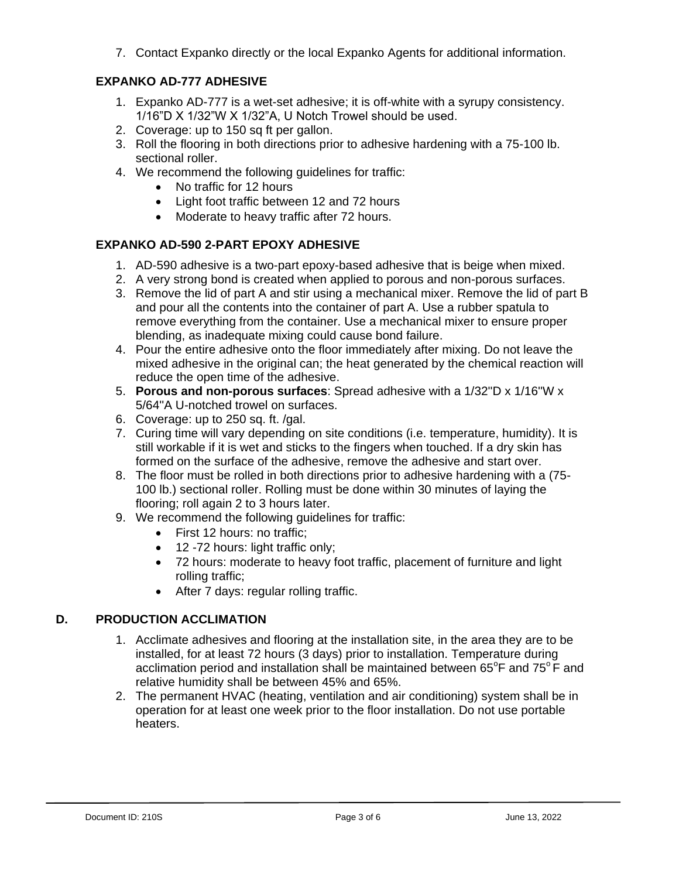7. Contact Expanko directly or the local Expanko Agents for additional information.

## **EXPANKO AD-777 ADHESIVE**

- 1. Expanko AD-777 is a wet-set adhesive; it is off-white with a syrupy consistency. 1/16"D X 1/32"W X 1/32"A, U Notch Trowel should be used.
- 2. Coverage: up to 150 sq ft per gallon.
- 3. Roll the flooring in both directions prior to adhesive hardening with a 75-100 lb. sectional roller.
- 4. We recommend the following guidelines for traffic:
	- No traffic for 12 hours
	- Light foot traffic between 12 and 72 hours
	- Moderate to heavy traffic after 72 hours.

# **EXPANKO AD-590 2-PART EPOXY ADHESIVE**

- 1. AD-590 adhesive is a two-part epoxy-based adhesive that is beige when mixed.
- 2. A very strong bond is created when applied to porous and non-porous surfaces.
- 3. Remove the lid of part A and stir using a mechanical mixer. Remove the lid of part B and pour all the contents into the container of part A. Use a rubber spatula to remove everything from the container. Use a mechanical mixer to ensure proper blending, as inadequate mixing could cause bond failure.
- 4. Pour the entire adhesive onto the floor immediately after mixing. Do not leave the mixed adhesive in the original can; the heat generated by the chemical reaction will reduce the open time of the adhesive.
- 5. **Porous and non-porous surfaces**: Spread adhesive with a 1/32''D x 1/16''W x 5/64''A U-notched trowel on surfaces.
- 6. Coverage: up to 250 sq. ft. /gal.
- 7. Curing time will vary depending on site conditions (i.e. temperature, humidity). It is still workable if it is wet and sticks to the fingers when touched. If a dry skin has formed on the surface of the adhesive, remove the adhesive and start over.
- 8. The floor must be rolled in both directions prior to adhesive hardening with a (75- 100 lb.) sectional roller. Rolling must be done within 30 minutes of laying the flooring; roll again 2 to 3 hours later.
- 9. We recommend the following guidelines for traffic:
	- First 12 hours: no traffic;
	- 12 -72 hours: light traffic only;
	- 72 hours: moderate to heavy foot traffic, placement of furniture and light rolling traffic;
	- After 7 days: regular rolling traffic.

# **D. PRODUCTION ACCLIMATION**

- 1. Acclimate adhesives and flooring at the installation site, in the area they are to be installed, for at least 72 hours (3 days) prior to installation. Temperature during acclimation period and installation shall be maintained between  $65^{\circ}$ F and  $75^{\circ}$ F and relative humidity shall be between 45% and 65%.
- 2. The permanent HVAC (heating, ventilation and air conditioning) system shall be in operation for at least one week prior to the floor installation. Do not use portable heaters.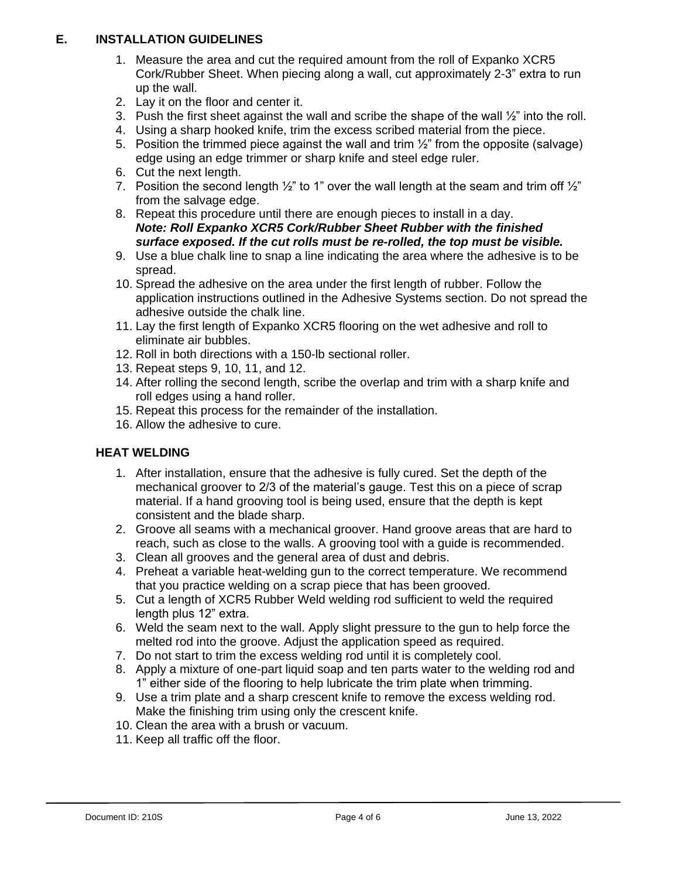## **E. INSTALLATION GUIDELINES**

- 1. Measure the area and cut the required amount from the roll of Expanko XCR5 Cork/Rubber Sheet. When piecing along a wall, cut approximately 2-3" extra to run up the wall.
- 2. Lay it on the floor and center it.
- 3. Push the first sheet against the wall and scribe the shape of the wall  $\frac{1}{2}$ " into the roll.
- 4. Using a sharp hooked knife, trim the excess scribed material from the piece.
- 5. Position the trimmed piece against the wall and trim  $\frac{1}{2}$  from the opposite (salvage) edge using an edge trimmer or sharp knife and steel edge ruler.
- 6. Cut the next length.
- 7. Position the second length  $\frac{1}{2}$ " to 1" over the wall length at the seam and trim off  $\frac{1}{2}$ " from the salvage edge.
- 8. Repeat this procedure until there are enough pieces to install in a day. *Note: Roll Expanko XCR5 Cork/Rubber Sheet Rubber with the finished surface exposed. If the cut rolls must be re-rolled, the top must be visible.*
- 9. Use a blue chalk line to snap a line indicating the area where the adhesive is to be spread.
- 10. Spread the adhesive on the area under the first length of rubber. Follow the application instructions outlined in the Adhesive Systems section. Do not spread the adhesive outside the chalk line.
- 11. Lay the first length of Expanko XCR5 flooring on the wet adhesive and roll to eliminate air bubbles.
- 12. Roll in both directions with a 150-lb sectional roller.
- 13. Repeat steps 9, 10, 11, and 12.
- 14. After rolling the second length, scribe the overlap and trim with a sharp knife and roll edges using a hand roller.
- 15. Repeat this process for the remainder of the installation.
- 16. Allow the adhesive to cure.

### **HEAT WELDING**

- 1. After installation, ensure that the adhesive is fully cured. Set the depth of the mechanical groover to 2/3 of the material's gauge. Test this on a piece of scrap material. If a hand grooving tool is being used, ensure that the depth is kept consistent and the blade sharp.
- 2. Groove all seams with a mechanical groover. Hand groove areas that are hard to reach, such as close to the walls. A grooving tool with a guide is recommended.
- 3. Clean all grooves and the general area of dust and debris.
- 4. Preheat a variable heat-welding gun to the correct temperature. We recommend that you practice welding on a scrap piece that has been grooved.
- 5. Cut a length of XCR5 Rubber Weld welding rod sufficient to weld the required length plus 12" extra.
- 6. Weld the seam next to the wall. Apply slight pressure to the gun to help force the melted rod into the groove. Adjust the application speed as required.
- 7. Do not start to trim the excess welding rod until it is completely cool.
- 8. Apply a mixture of one-part liquid soap and ten parts water to the welding rod and 1" either side of the flooring to help lubricate the trim plate when trimming.
- 9. Use a trim plate and a sharp crescent knife to remove the excess welding rod. Make the finishing trim using only the crescent knife.
- 10. Clean the area with a brush or vacuum.
- 11. Keep all traffic off the floor.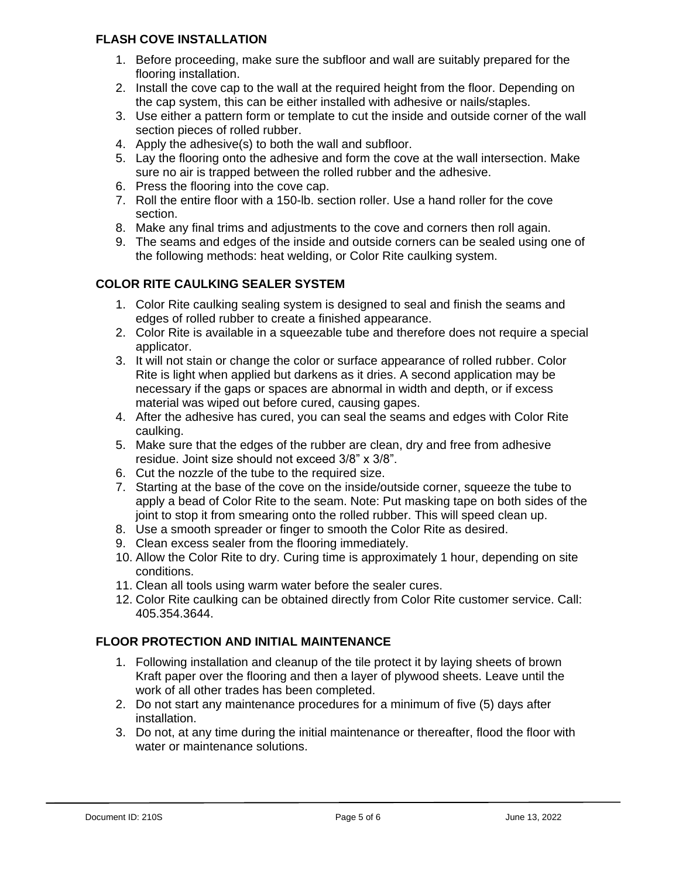### **FLASH COVE INSTALLATION**

- 1. Before proceeding, make sure the subfloor and wall are suitably prepared for the flooring installation.
- 2. Install the cove cap to the wall at the required height from the floor. Depending on the cap system, this can be either installed with adhesive or nails/staples.
- 3. Use either a pattern form or template to cut the inside and outside corner of the wall section pieces of rolled rubber.
- 4. Apply the adhesive(s) to both the wall and subfloor.
- 5. Lay the flooring onto the adhesive and form the cove at the wall intersection. Make sure no air is trapped between the rolled rubber and the adhesive.
- 6. Press the flooring into the cove cap.
- 7. Roll the entire floor with a 150-lb. section roller. Use a hand roller for the cove section.
- 8. Make any final trims and adjustments to the cove and corners then roll again.
- 9. The seams and edges of the inside and outside corners can be sealed using one of the following methods: heat welding, or Color Rite caulking system.

## **COLOR RITE CAULKING SEALER SYSTEM**

- 1. Color Rite caulking sealing system is designed to seal and finish the seams and edges of rolled rubber to create a finished appearance.
- 2. Color Rite is available in a squeezable tube and therefore does not require a special applicator.
- 3. It will not stain or change the color or surface appearance of rolled rubber. Color Rite is light when applied but darkens as it dries. A second application may be necessary if the gaps or spaces are abnormal in width and depth, or if excess material was wiped out before cured, causing gapes.
- 4. After the adhesive has cured, you can seal the seams and edges with Color Rite caulking.
- 5. Make sure that the edges of the rubber are clean, dry and free from adhesive residue. Joint size should not exceed 3/8" x 3/8".
- 6. Cut the nozzle of the tube to the required size.
- 7. Starting at the base of the cove on the inside/outside corner, squeeze the tube to apply a bead of Color Rite to the seam. Note: Put masking tape on both sides of the joint to stop it from smearing onto the rolled rubber. This will speed clean up.
- 8. Use a smooth spreader or finger to smooth the Color Rite as desired.
- 9. Clean excess sealer from the flooring immediately.
- 10. Allow the Color Rite to dry. Curing time is approximately 1 hour, depending on site conditions.
- 11. Clean all tools using warm water before the sealer cures.
- 12. Color Rite caulking can be obtained directly from Color Rite customer service. Call: 405.354.3644.

## **FLOOR PROTECTION AND INITIAL MAINTENANCE**

- 1. Following installation and cleanup of the tile protect it by laying sheets of brown Kraft paper over the flooring and then a layer of plywood sheets. Leave until the work of all other trades has been completed.
- 2. Do not start any maintenance procedures for a minimum of five (5) days after installation.
- 3. Do not, at any time during the initial maintenance or thereafter, flood the floor with water or maintenance solutions.